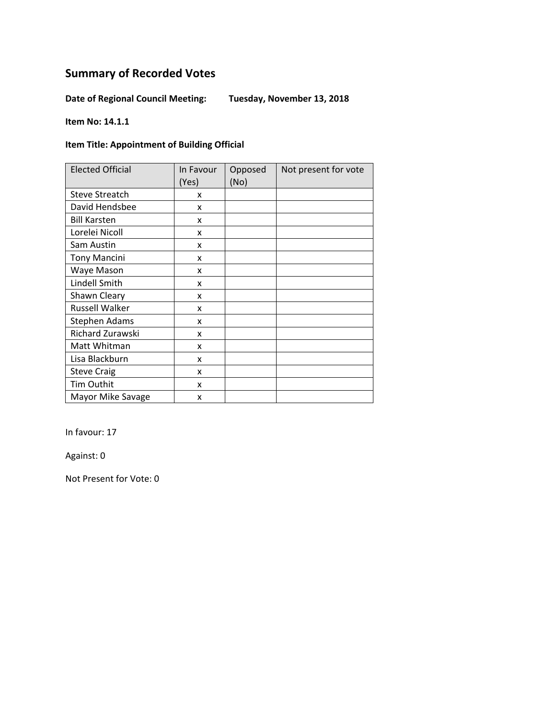**Date of Regional Council Meeting: Tuesday, November 13, 2018** 

**Item No: 14.1.1** 

#### **Item Title: Appointment of Building Official**

| <b>Elected Official</b> | In Favour<br>(Yes) | Opposed<br>(No) | Not present for vote |
|-------------------------|--------------------|-----------------|----------------------|
| <b>Steve Streatch</b>   | x                  |                 |                      |
| David Hendsbee          | x                  |                 |                      |
| <b>Bill Karsten</b>     | X                  |                 |                      |
| Lorelei Nicoll          | x                  |                 |                      |
| Sam Austin              | X                  |                 |                      |
| <b>Tony Mancini</b>     | x                  |                 |                      |
| Waye Mason              | x                  |                 |                      |
| Lindell Smith           | X                  |                 |                      |
| Shawn Cleary            | x                  |                 |                      |
| <b>Russell Walker</b>   | x                  |                 |                      |
| <b>Stephen Adams</b>    | x                  |                 |                      |
| Richard Zurawski        | x                  |                 |                      |
| Matt Whitman            | x                  |                 |                      |
| Lisa Blackburn          | x                  |                 |                      |
| <b>Steve Craig</b>      | x                  |                 |                      |
| Tim Outhit              | x                  |                 |                      |
| Mayor Mike Savage       | x                  |                 |                      |

In favour: 17

Against: 0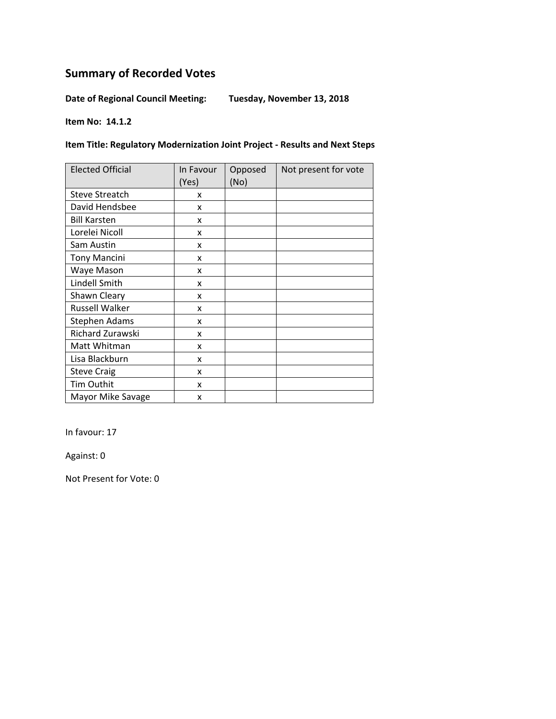**Date of Regional Council Meeting: Tuesday, November 13, 2018** 

**Item No: 14.1.2** 

**Item Title: Regulatory Modernization Joint Project ‐ Results and Next Steps**

| <b>Elected Official</b> | In Favour<br>(Yes) | Opposed<br>(No) | Not present for vote |
|-------------------------|--------------------|-----------------|----------------------|
| <b>Steve Streatch</b>   | x                  |                 |                      |
| David Hendsbee          | x                  |                 |                      |
| <b>Bill Karsten</b>     | x                  |                 |                      |
| Lorelei Nicoll          | x                  |                 |                      |
| Sam Austin              | x                  |                 |                      |
| <b>Tony Mancini</b>     | x                  |                 |                      |
| Waye Mason              | x                  |                 |                      |
| Lindell Smith           | x                  |                 |                      |
| Shawn Cleary            | x                  |                 |                      |
| <b>Russell Walker</b>   | x                  |                 |                      |
| <b>Stephen Adams</b>    | x                  |                 |                      |
| Richard Zurawski        | x                  |                 |                      |
| Matt Whitman            | x                  |                 |                      |
| Lisa Blackburn          | x                  |                 |                      |
| <b>Steve Craig</b>      | x                  |                 |                      |
| Tim Outhit              | x                  |                 |                      |
| Mayor Mike Savage       | x                  |                 |                      |

In favour: 17

Against: 0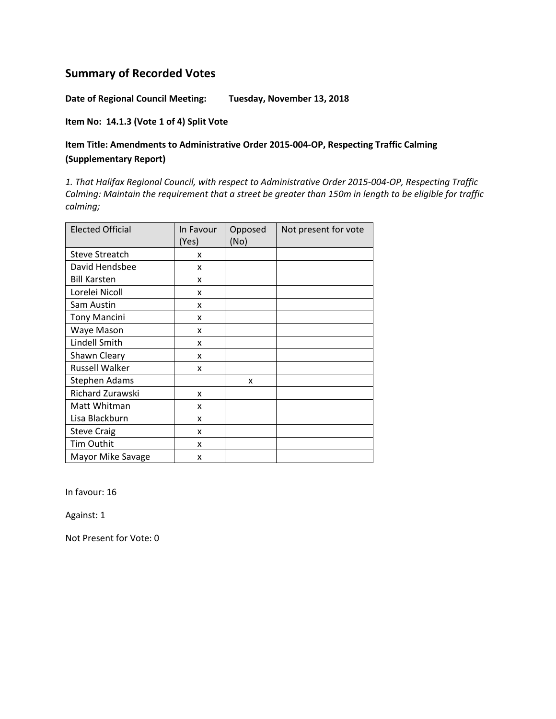**Date of Regional Council Meeting: Tuesday, November 13, 2018** 

**Item No: 14.1.3 (Vote 1 of 4) Split Vote** 

### **Item Title: Amendments to Administrative Order 2015‐004‐OP, Respecting Traffic Calming (Supplementary Report)**

*1. That Halifax Regional Council, with respect to Administrative Order 2015‐004‐OP, Respecting Traffic* Calming: Maintain the requirement that a street be greater than 150m in length to be eligible for traffic *calming;* 

| <b>Elected Official</b> | In Favour<br>(Yes) | Opposed<br>(No) | Not present for vote |
|-------------------------|--------------------|-----------------|----------------------|
| <b>Steve Streatch</b>   | x                  |                 |                      |
| David Hendsbee          | x                  |                 |                      |
| <b>Bill Karsten</b>     | x                  |                 |                      |
| Lorelei Nicoll          | x                  |                 |                      |
| Sam Austin              | X                  |                 |                      |
| <b>Tony Mancini</b>     | x                  |                 |                      |
| Waye Mason              | x                  |                 |                      |
| Lindell Smith           | x                  |                 |                      |
| Shawn Cleary            | x                  |                 |                      |
| <b>Russell Walker</b>   | x                  |                 |                      |
| <b>Stephen Adams</b>    |                    | x               |                      |
| Richard Zurawski        | x                  |                 |                      |
| Matt Whitman            | x                  |                 |                      |
| Lisa Blackburn          | x                  |                 |                      |
| <b>Steve Craig</b>      | x                  |                 |                      |
| <b>Tim Outhit</b>       | x                  |                 |                      |
| Mayor Mike Savage       | X                  |                 |                      |

In favour: 16

Against: 1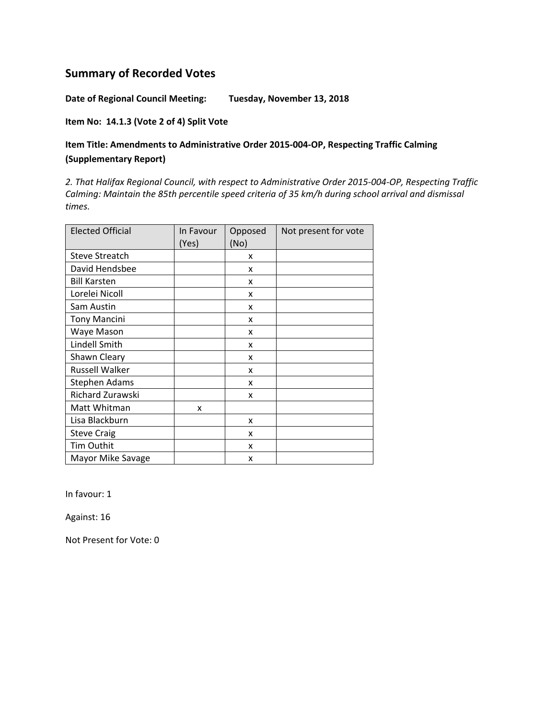**Date of Regional Council Meeting: Tuesday, November 13, 2018** 

**Item No: 14.1.3 (Vote 2 of 4) Split Vote**

### **Item Title: Amendments to Administrative Order 2015‐004‐OP, Respecting Traffic Calming (Supplementary Report)**

*2. That Halifax Regional Council, with respect to Administrative Order 2015‐004‐OP, Respecting Traffic Calming: Maintain the 85th percentile speed criteria of 35 km/h during school arrival and dismissal times.*

| <b>Elected Official</b> | In Favour<br>(Yes) | Opposed<br>(No) | Not present for vote |
|-------------------------|--------------------|-----------------|----------------------|
| <b>Steve Streatch</b>   |                    | x               |                      |
| David Hendsbee          |                    | x               |                      |
| <b>Bill Karsten</b>     |                    | x               |                      |
| Lorelei Nicoll          |                    | x               |                      |
| Sam Austin              |                    | x               |                      |
| <b>Tony Mancini</b>     |                    | x               |                      |
| Waye Mason              |                    | x               |                      |
| Lindell Smith           |                    | x               |                      |
| Shawn Cleary            |                    | x               |                      |
| <b>Russell Walker</b>   |                    | x               |                      |
| <b>Stephen Adams</b>    |                    | x               |                      |
| Richard Zurawski        |                    | x               |                      |
| Matt Whitman            | X                  |                 |                      |
| Lisa Blackburn          |                    | x               |                      |
| <b>Steve Craig</b>      |                    | x               |                      |
| Tim Outhit              |                    | x               |                      |
| Mayor Mike Savage       |                    | x               |                      |

In favour: 1

Against: 16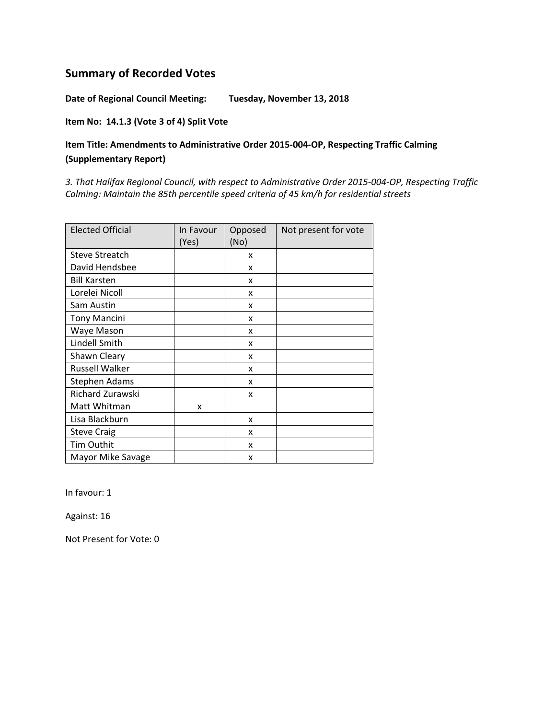**Date of Regional Council Meeting: Tuesday, November 13, 2018** 

**Item No: 14.1.3 (Vote 3 of 4) Split Vote** 

### **Item Title: Amendments to Administrative Order 2015‐004‐OP, Respecting Traffic Calming (Supplementary Report)**

*3. That Halifax Regional Council, with respect to Administrative Order 2015‐004‐OP, Respecting Traffic Calming: Maintain the 85th percentile speed criteria of 45 km/h for residential streets*

| <b>Elected Official</b> | In Favour<br>(Yes) | Opposed<br>(No) | Not present for vote |
|-------------------------|--------------------|-----------------|----------------------|
| <b>Steve Streatch</b>   |                    | X               |                      |
| David Hendsbee          |                    | x               |                      |
| <b>Bill Karsten</b>     |                    | x               |                      |
| Lorelei Nicoll          |                    | x               |                      |
| Sam Austin              |                    | x               |                      |
| <b>Tony Mancini</b>     |                    | x               |                      |
| Waye Mason              |                    | x               |                      |
| Lindell Smith           |                    | x               |                      |
| Shawn Cleary            |                    | x               |                      |
| <b>Russell Walker</b>   |                    | x               |                      |
| <b>Stephen Adams</b>    |                    | x               |                      |
| Richard Zurawski        |                    | x               |                      |
| Matt Whitman            | x                  |                 |                      |
| Lisa Blackburn          |                    | x               |                      |
| <b>Steve Craig</b>      |                    | x               |                      |
| Tim Outhit              |                    | X               |                      |
| Mayor Mike Savage       |                    | x               |                      |

In favour: 1

Against: 16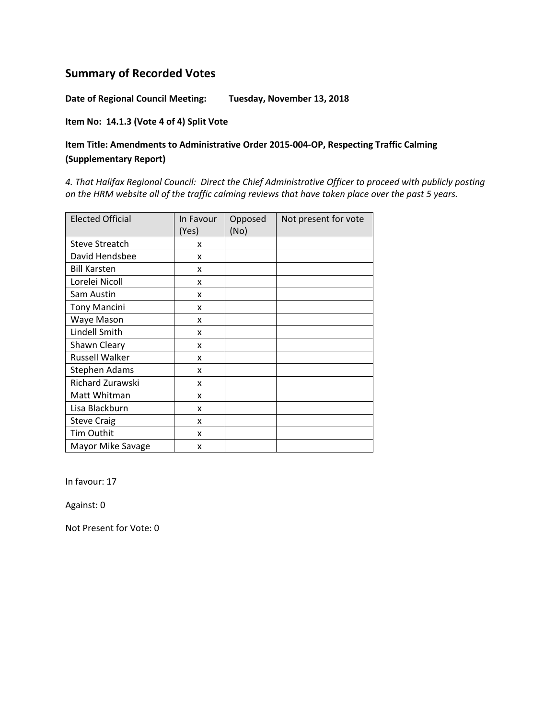**Date of Regional Council Meeting: Tuesday, November 13, 2018** 

#### **Item No: 14.1.3 (Vote 4 of 4) Split Vote**

### **Item Title: Amendments to Administrative Order 2015‐004‐OP, Respecting Traffic Calming (Supplementary Report)**

*4. That Halifax Regional Council: Direct the Chief Administrative Officer to proceed with publicly posting* on the HRM website all of the traffic calming reviews that have taken place over the past 5 years.

| <b>Elected Official</b> | In Favour<br>(Yes) | Opposed<br>(No) | Not present for vote |
|-------------------------|--------------------|-----------------|----------------------|
| <b>Steve Streatch</b>   | x                  |                 |                      |
| David Hendsbee          | x                  |                 |                      |
| <b>Bill Karsten</b>     | x                  |                 |                      |
| Lorelei Nicoll          | x                  |                 |                      |
| Sam Austin              | x                  |                 |                      |
| <b>Tony Mancini</b>     | x                  |                 |                      |
| Waye Mason              | x                  |                 |                      |
| Lindell Smith           | x                  |                 |                      |
| Shawn Cleary            | x                  |                 |                      |
| <b>Russell Walker</b>   | x                  |                 |                      |
| Stephen Adams           | x                  |                 |                      |
| Richard Zurawski        | x                  |                 |                      |
| Matt Whitman            | x                  |                 |                      |
| Lisa Blackburn          | x                  |                 |                      |
| <b>Steve Craig</b>      | x                  |                 |                      |
| Tim Outhit              | x                  |                 |                      |
| Mayor Mike Savage       | x                  |                 |                      |

In favour: 17

Against: 0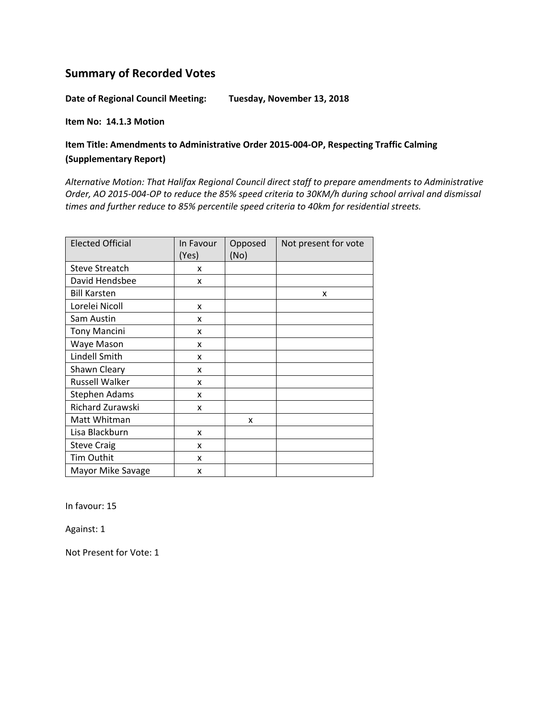**Date of Regional Council Meeting: Tuesday, November 13, 2018** 

**Item No: 14.1.3 Motion** 

### **Item Title: Amendments to Administrative Order 2015‐004‐OP, Respecting Traffic Calming (Supplementary Report)**

*Alternative Motion: That Halifax Regional Council direct staff to prepare amendments to Administrative* Order, AO 2015-004-OP to reduce the 85% speed criteria to 30KM/h during school arrival and dismissal *times and further reduce to 85% percentile speed criteria to 40km for residential streets.*

| <b>Elected Official</b> | In Favour<br>(Yes) | Opposed<br>(No) | Not present for vote |
|-------------------------|--------------------|-----------------|----------------------|
| <b>Steve Streatch</b>   | x                  |                 |                      |
| David Hendsbee          | x                  |                 |                      |
| <b>Bill Karsten</b>     |                    |                 | x                    |
| Lorelei Nicoll          | X                  |                 |                      |
| Sam Austin              | x                  |                 |                      |
| <b>Tony Mancini</b>     | x                  |                 |                      |
| Waye Mason              | x                  |                 |                      |
| Lindell Smith           | x                  |                 |                      |
| Shawn Cleary            | X                  |                 |                      |
| <b>Russell Walker</b>   | x                  |                 |                      |
| Stephen Adams           | x                  |                 |                      |
| Richard Zurawski        | x                  |                 |                      |
| Matt Whitman            |                    | X               |                      |
| Lisa Blackburn          | x                  |                 |                      |
| <b>Steve Craig</b>      | x                  |                 |                      |
| Tim Outhit              | x                  |                 |                      |
| Mayor Mike Savage       | x                  |                 |                      |

In favour: 15

Against: 1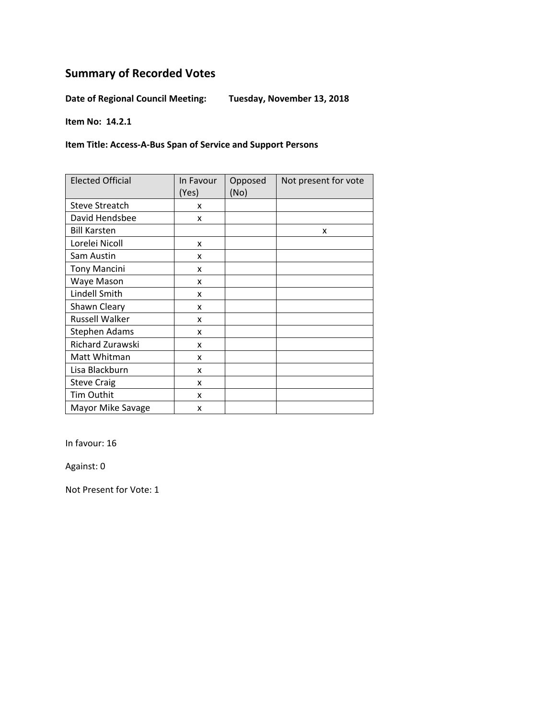**Date of Regional Council Meeting: Tuesday, November 13, 2018** 

**Item No: 14.2.1** 

**Item Title: Access‐A‐Bus Span of Service and Support Persons**

| <b>Elected Official</b> | In Favour<br>(Yes) | Opposed<br>(No) | Not present for vote |
|-------------------------|--------------------|-----------------|----------------------|
| <b>Steve Streatch</b>   | x                  |                 |                      |
| David Hendsbee          | x                  |                 |                      |
| <b>Bill Karsten</b>     |                    |                 | x                    |
| Lorelei Nicoll          | X                  |                 |                      |
| Sam Austin              | x                  |                 |                      |
| <b>Tony Mancini</b>     | x                  |                 |                      |
| Waye Mason              | x                  |                 |                      |
| Lindell Smith           | x                  |                 |                      |
| Shawn Cleary            | x                  |                 |                      |
| <b>Russell Walker</b>   | x                  |                 |                      |
| <b>Stephen Adams</b>    | x                  |                 |                      |
| Richard Zurawski        | x                  |                 |                      |
| Matt Whitman            | x                  |                 |                      |
| Lisa Blackburn          | x                  |                 |                      |
| <b>Steve Craig</b>      | x                  |                 |                      |
| Tim Outhit              | x                  |                 |                      |
| Mayor Mike Savage       | x                  |                 |                      |

In favour: 16

Against: 0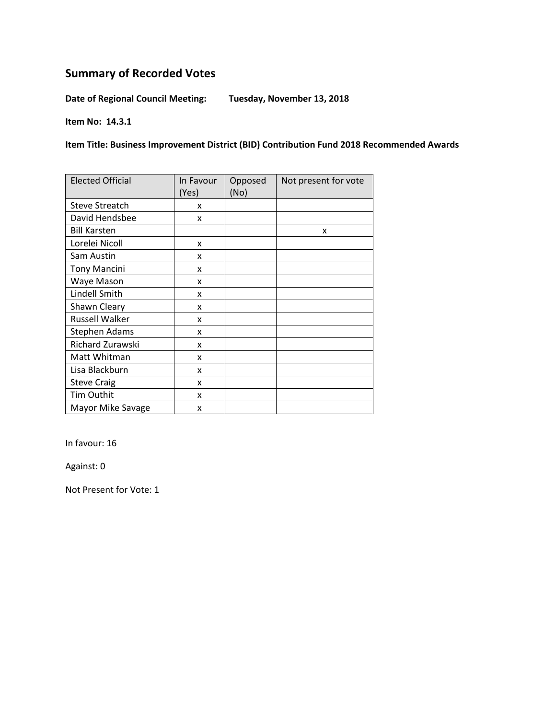**Date of Regional Council Meeting: Tuesday, November 13, 2018** 

**Item No: 14.3.1** 

**Item Title: Business Improvement District (BID) Contribution Fund 2018 Recommended Awards**

| <b>Elected Official</b> | In Favour<br>(Yes) | Opposed<br>(No) | Not present for vote |
|-------------------------|--------------------|-----------------|----------------------|
| <b>Steve Streatch</b>   | x                  |                 |                      |
| David Hendsbee          | x                  |                 |                      |
| <b>Bill Karsten</b>     |                    |                 | x                    |
| Lorelei Nicoll          | X                  |                 |                      |
| Sam Austin              | x                  |                 |                      |
| <b>Tony Mancini</b>     | x                  |                 |                      |
| Waye Mason              | x                  |                 |                      |
| Lindell Smith           | x                  |                 |                      |
| Shawn Cleary            | x                  |                 |                      |
| <b>Russell Walker</b>   | x                  |                 |                      |
| Stephen Adams           | X                  |                 |                      |
| Richard Zurawski        | x                  |                 |                      |
| Matt Whitman            | x                  |                 |                      |
| Lisa Blackburn          | x                  |                 |                      |
| <b>Steve Craig</b>      | x                  |                 |                      |
| Tim Outhit              | x                  |                 |                      |
| Mayor Mike Savage       | x                  |                 |                      |

In favour: 16

Against: 0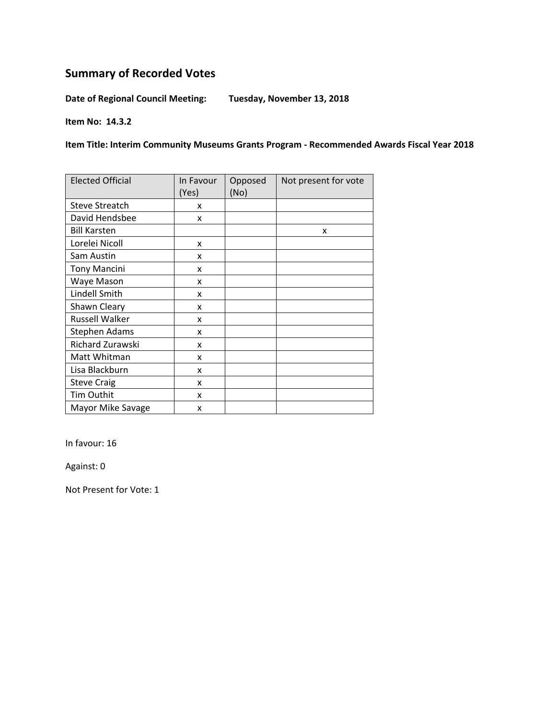**Date of Regional Council Meeting: Tuesday, November 13, 2018** 

**Item No: 14.3.2** 

**Item Title: Interim Community Museums Grants Program ‐ Recommended Awards Fiscal Year 2018**

| <b>Elected Official</b> | In Favour<br>(Yes) | Opposed<br>(No) | Not present for vote |
|-------------------------|--------------------|-----------------|----------------------|
| <b>Steve Streatch</b>   | x                  |                 |                      |
| David Hendsbee          | x                  |                 |                      |
| <b>Bill Karsten</b>     |                    |                 | x                    |
| Lorelei Nicoll          | X                  |                 |                      |
| Sam Austin              | x                  |                 |                      |
| <b>Tony Mancini</b>     | x                  |                 |                      |
| Waye Mason              | x                  |                 |                      |
| Lindell Smith           | x                  |                 |                      |
| Shawn Cleary            | X                  |                 |                      |
| <b>Russell Walker</b>   | x                  |                 |                      |
| <b>Stephen Adams</b>    | x                  |                 |                      |
| Richard Zurawski        | x                  |                 |                      |
| Matt Whitman            | x                  |                 |                      |
| Lisa Blackburn          | x                  |                 |                      |
| <b>Steve Craig</b>      | x                  |                 |                      |
| Tim Outhit              | x                  |                 |                      |
| Mayor Mike Savage       | x                  |                 |                      |

In favour: 16

Against: 0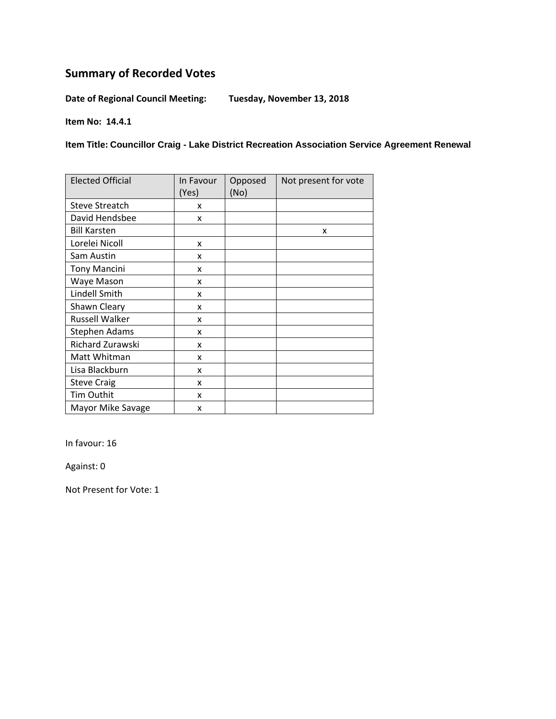**Date of Regional Council Meeting: Tuesday, November 13, 2018** 

**Item No: 14.4.1** 

**Item Title: Councillor Craig - Lake District Recreation Association Service Agreement Renewal**

| <b>Elected Official</b> | In Favour<br>(Yes) | Opposed<br>(No) | Not present for vote |
|-------------------------|--------------------|-----------------|----------------------|
| <b>Steve Streatch</b>   | x                  |                 |                      |
| David Hendsbee          | x                  |                 |                      |
| <b>Bill Karsten</b>     |                    |                 | x                    |
| Lorelei Nicoll          | x                  |                 |                      |
| Sam Austin              | x                  |                 |                      |
| <b>Tony Mancini</b>     | x                  |                 |                      |
| Waye Mason              | x                  |                 |                      |
| Lindell Smith           | x                  |                 |                      |
| Shawn Cleary            | x                  |                 |                      |
| <b>Russell Walker</b>   | X                  |                 |                      |
| <b>Stephen Adams</b>    | x                  |                 |                      |
| Richard Zurawski        | x                  |                 |                      |
| Matt Whitman            | x                  |                 |                      |
| Lisa Blackburn          | x                  |                 |                      |
| <b>Steve Craig</b>      | x                  |                 |                      |
| Tim Outhit              | x                  |                 |                      |
| Mayor Mike Savage       | x                  |                 |                      |

In favour: 16

Against: 0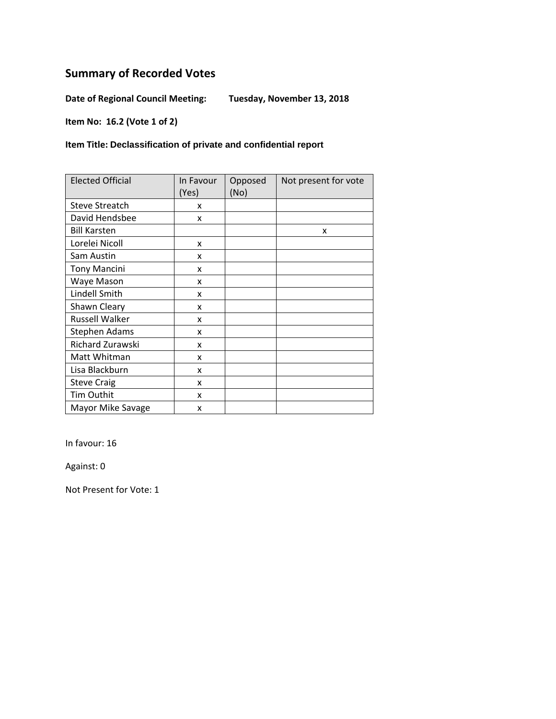**Date of Regional Council Meeting: Tuesday, November 13, 2018** 

**Item No: 16.2 (Vote 1 of 2)** 

**Item Title: Declassification of private and confidential report** 

| <b>Elected Official</b> | In Favour<br>(Yes) | Opposed<br>(No) | Not present for vote |
|-------------------------|--------------------|-----------------|----------------------|
| <b>Steve Streatch</b>   | x                  |                 |                      |
| David Hendsbee          | x                  |                 |                      |
| <b>Bill Karsten</b>     |                    |                 | x                    |
| Lorelei Nicoll          | x                  |                 |                      |
| Sam Austin              | x                  |                 |                      |
| <b>Tony Mancini</b>     | x                  |                 |                      |
| Waye Mason              | x                  |                 |                      |
| Lindell Smith           | x                  |                 |                      |
| Shawn Cleary            | x                  |                 |                      |
| <b>Russell Walker</b>   | x                  |                 |                      |
| <b>Stephen Adams</b>    | x                  |                 |                      |
| Richard Zurawski        | x                  |                 |                      |
| Matt Whitman            | x                  |                 |                      |
| Lisa Blackburn          | x                  |                 |                      |
| <b>Steve Craig</b>      | x                  |                 |                      |
| Tim Outhit              | x                  |                 |                      |
| Mayor Mike Savage       | x                  |                 |                      |

In favour: 16

Against: 0